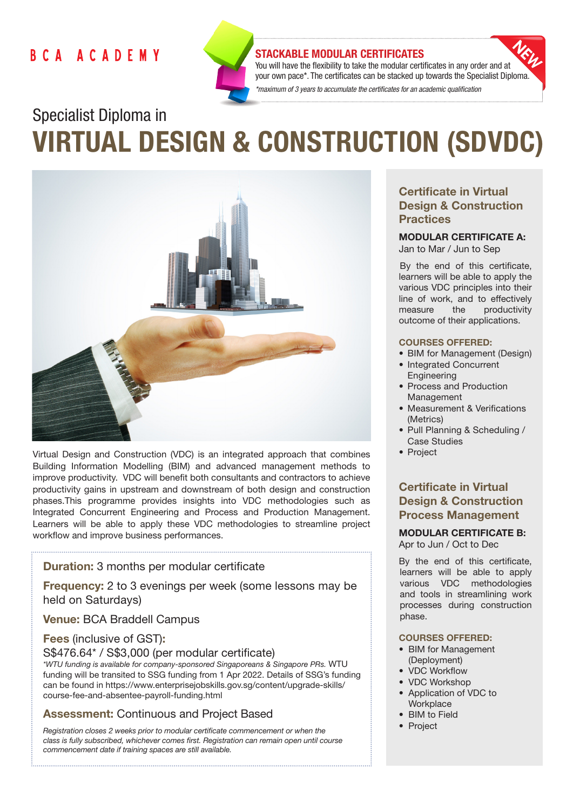# BCA ACADEMY



#### STACKABLE MODULAR CERTIFICATES

You will have the flexibility to take the modular certificates in any order and at your own pace\*. The certificates can be stacked up towards the Specialist Diploma. *\*maximum of 3 years to accumulate the certificates for an academic qualification* 

# Specialist Diploma in VIRTUAL DESIGN & CONSTRUCTION (SDVDC)



Virtual Design and Construction (VDC) is an integrated approach that combines Building Information Modelling (BIM) and advanced management methods to improve productivity. VDC will benefit both consultants and contractors to achieve productivity gains in upstream and downstream of both design and construction phases.This programme provides insights into VDC methodologies such as Integrated Concurrent Engineering and Process and Production Management. Learners will be able to apply these VDC methodologies to streamline project workflow and improve business performances.

## Duration: 3 months per modular certificate

Frequency: 2 to 3 evenings per week (some lessons may be held on Saturdays)

Venue: BCA Braddell Campus

#### Fees (inclusive of GST):

S\$476.64\* / S\$3,000 (per modular certificate)

*\*WTU funding is available for company-sponsored Singaporeans & Singapore PRs.* WTU funding will be transited to SSG funding from 1 Apr 2022. Details of SSG's funding can be found in https://www.enterprisejobskills.gov.sg/content/upgrade-skills/ course-fee-and-absentee-payroll-funding.html

## Assessment: Continuous and Project Based

*Registration closes 2 weeks prior to modular certificate commencement or when the class is fully subscribed, whichever comes first. Registration can remain open until course commencement date if training spaces are still available.*

# Certificate in Virtual Design & Construction **Practices**

#### MODULAR CERTIFICATE A: Jan to Mar / Jun to Sep

By the end of this certificate, learners will be able to apply the various VDC principles into their line of work, and to effectively measure the productivity outcome of their applications.

#### COURSES OFFERED:

- BIM for Management (Design)
- Integrated Concurrent Engineering
- Process and Production Management
- Measurement & Verifications (Metrics)
- Pull Planning & Scheduling / Case Studies
- Project

# Certificate in Virtual Design & Construction Process Management

#### MODULAR CERTIFICATE B: Apr to Jun / Oct to Dec

By the end of this certificate, learners will be able to apply various VDC methodologies and tools in streamlining work

processes during construction

#### COURSES OFFERED:

- BIM for Management (Deployment)
- VDC Workflow
- VDC Workshop
- Application of VDC to **Workplace**
- BIM to Field
- Project

phase.